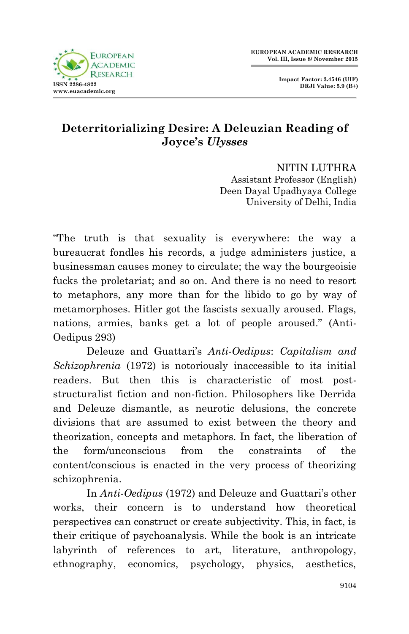

**Impact Factor: 3.4546 (UIF) DRJI Value: 5.9 (B+)**

## **Deterritorializing Desire: A Deleuzian Reading of Joyce's** *Ulysses*

NITIN LUTHRA Assistant Professor (English) Deen Dayal Upadhyaya College University of Delhi, India

"The truth is that sexuality is everywhere: the way a bureaucrat fondles his records, a judge administers justice, a businessman causes money to circulate; the way the bourgeoisie fucks the proletariat; and so on. And there is no need to resort to metaphors, any more than for the libido to go by way of metamorphoses. Hitler got the fascists sexually aroused. Flags, nations, armies, banks get a lot of people aroused." (Anti-Oedipus 293)

Deleuze and Guattari"s *Anti-Oedipus*: *Capitalism and Schizophrenia* (1972) is notoriously inaccessible to its initial readers. But then this is characteristic of most poststructuralist fiction and non-fiction. Philosophers like Derrida and Deleuze dismantle, as neurotic delusions, the concrete divisions that are assumed to exist between the theory and theorization, concepts and metaphors. In fact, the liberation of the form/unconscious from the constraints of the content/conscious is enacted in the very process of theorizing schizophrenia.

In *Anti-Oedipus* (1972) and Deleuze and Guattari's other works, their concern is to understand how theoretical perspectives can construct or create subjectivity. This, in fact, is their critique of psychoanalysis. While the book is an intricate labyrinth of references to art, literature, anthropology, ethnography, economics, psychology, physics, aesthetics,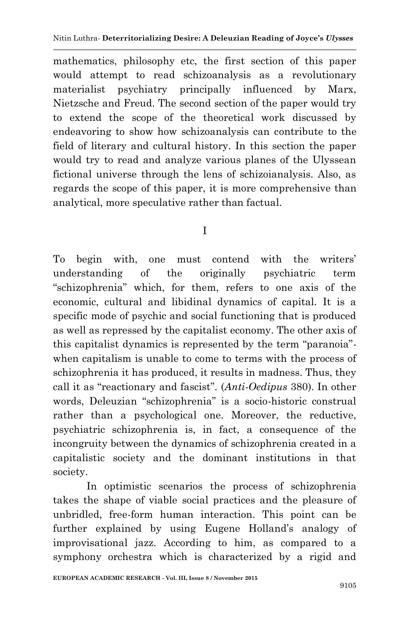mathematics, philosophy etc, the first section of this paper would attempt to read schizoanalysis as a revolutionary materialist psychiatry principally influenced by Marx, Nietzsche and Freud. The second section of the paper would try to extend the scope of the theoretical work discussed by endeavoring to show how schizoanalysis can contribute to the field of literary and cultural history. In this section the paper would try to read and analyze various planes of the Ulyssean fictional universe through the lens of schizoianalysis. Also, as regards the scope of this paper, it is more comprehensive than analytical, more speculative rather than factual.

## I

To begin with, one must contend with the writers" understanding of the originally psychiatric term "schizophrenia" which, for them, refers to one axis of the economic, cultural and libidinal dynamics of capital. It is a specific mode of psychic and social functioning that is produced as well as repressed by the capitalist economy. The other axis of this capitalist dynamics is represented by the term "paranoia" when capitalism is unable to come to terms with the process of schizophrenia it has produced, it results in madness. Thus, they call it as "reactionary and fascist". (*Anti-Oedipus* 380). In other words, Deleuzian "schizophrenia" is a socio-historic construal rather than a psychological one. Moreover, the reductive, psychiatric schizophrenia is, in fact, a consequence of the incongruity between the dynamics of schizophrenia created in a capitalistic society and the dominant institutions in that society.

In optimistic scenarios the process of schizophrenia takes the shape of viable social practices and the pleasure of unbridled, free-form human interaction. This point can be further explained by using Eugene Holland's analogy of improvisational jazz. According to him, as compared to a symphony orchestra which is characterized by a rigid and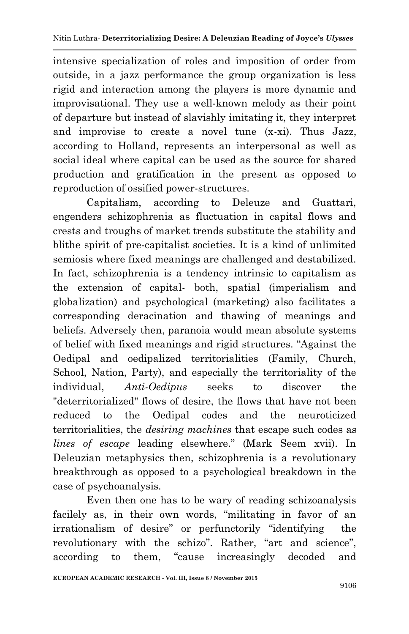intensive specialization of roles and imposition of order from outside, in a jazz performance the group organization is less rigid and interaction among the players is more dynamic and improvisational. They use a well-known melody as their point of departure but instead of slavishly imitating it, they interpret and improvise to create a novel tune (x-xi). Thus Jazz, according to Holland, represents an interpersonal as well as social ideal where capital can be used as the source for shared production and gratification in the present as opposed to reproduction of ossified power-structures.

Capitalism, according to Deleuze and Guattari, engenders schizophrenia as fluctuation in capital flows and crests and troughs of market trends substitute the stability and blithe spirit of pre-capitalist societies. It is a kind of unlimited semiosis where fixed meanings are challenged and destabilized. In fact, schizophrenia is a tendency intrinsic to capitalism as the extension of capital- both, spatial (imperialism and globalization) and psychological (marketing) also facilitates a corresponding deracination and thawing of meanings and beliefs. Adversely then, paranoia would mean absolute systems of belief with fixed meanings and rigid structures. "Against the Oedipal and oedipalized territorialities (Family, Church, School, Nation, Party), and especially the territoriality of the individual, *Anti-Oedipus* seeks to discover the "deterritorialized" flows of desire, the flows that have not been reduced to the Oedipal codes and the neuroticized territorialities, the *desiring machines* that escape such codes as *lines of escape* leading elsewhere." (Mark Seem xvii). In Deleuzian metaphysics then, schizophrenia is a revolutionary breakthrough as opposed to a psychological breakdown in the case of psychoanalysis.

Even then one has to be wary of reading schizoanalysis facilely as, in their own words, "militating in favor of an irrationalism of desire" or perfunctorily "identifying the revolutionary with the schizo". Rather, "art and science", according to them, "cause increasingly decoded and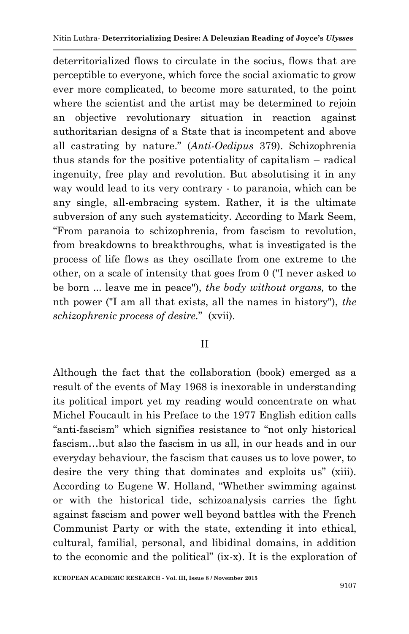deterritorialized flows to circulate in the socius, flows that are perceptible to everyone, which force the social axiomatic to grow ever more complicated, to become more saturated, to the point where the scientist and the artist may be determined to rejoin an objective revolutionary situation in reaction against authoritarian designs of a State that is incompetent and above all castrating by nature." (*Anti-Oedipus* 379). Schizophrenia thus stands for the positive potentiality of capitalism – radical ingenuity, free play and revolution. But absolutising it in any way would lead to its very contrary - to paranoia, which can be any single, all-embracing system. Rather, it is the ultimate subversion of any such systematicity. According to Mark Seem, "From paranoia to schizophrenia, from fascism to revolution, from breakdowns to breakthroughs, what is investigated is the process of life flows as they oscillate from one extreme to the other, on a scale of intensity that goes from 0 ("I never asked to be born ... leave me in peace"), *the body without organs,* to the nth power ("I am all that exists, all the names in history"), *the schizophrenic process of desire.*" (xvii).

## II

Although the fact that the collaboration (book) emerged as a result of the events of May 1968 is inexorable in understanding its political import yet my reading would concentrate on what Michel Foucault in his Preface to the 1977 English edition calls "anti-fascism" which signifies resistance to "not only historical fascism…but also the fascism in us all, in our heads and in our everyday behaviour, the fascism that causes us to love power, to desire the very thing that dominates and exploits us" (xiii). According to Eugene W. Holland, "Whether swimming against or with the historical tide, schizoanalysis carries the fight against fascism and power well beyond battles with the French Communist Party or with the state, extending it into ethical, cultural, familial, personal, and libidinal domains, in addition to the economic and the political" (ix-x). It is the exploration of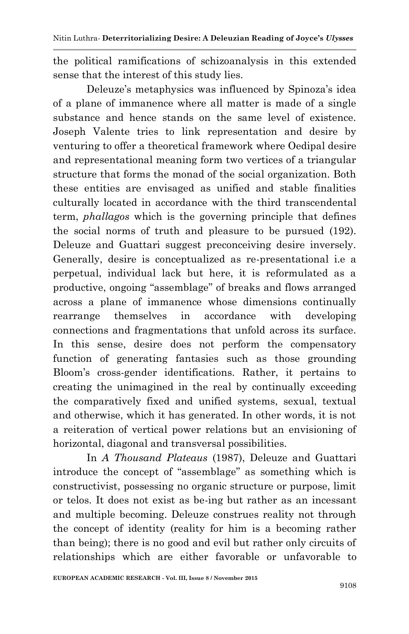the political ramifications of schizoanalysis in this extended sense that the interest of this study lies.

Deleuze's metaphysics was influenced by Spinoza's idea of a plane of immanence where all matter is made of a single substance and hence stands on the same level of existence. Joseph Valente tries to link representation and desire by venturing to offer a theoretical framework where Oedipal desire and representational meaning form two vertices of a triangular structure that forms the monad of the social organization. Both these entities are envisaged as unified and stable finalities culturally located in accordance with the third transcendental term, *phallagos* which is the governing principle that defines the social norms of truth and pleasure to be pursued (192). Deleuze and Guattari suggest preconceiving desire inversely. Generally, desire is conceptualized as re-presentational i.e a perpetual, individual lack but here, it is reformulated as a productive, ongoing "assemblage" of breaks and flows arranged across a plane of immanence whose dimensions continually rearrange themselves in accordance with developing connections and fragmentations that unfold across its surface. In this sense, desire does not perform the compensatory function of generating fantasies such as those grounding Bloom"s cross-gender identifications. Rather, it pertains to creating the unimagined in the real by continually exceeding the comparatively fixed and unified systems, sexual, textual and otherwise, which it has generated. In other words, it is not a reiteration of vertical power relations but an envisioning of horizontal, diagonal and transversal possibilities.

In *A Thousand Plateaus* (1987), Deleuze and Guattari introduce the concept of "assemblage" as something which is constructivist, possessing no organic structure or purpose, limit or telos. It does not exist as be-ing but rather as an incessant and multiple becoming. Deleuze construes reality not through the concept of identity (reality for him is a becoming rather than being); there is no good and evil but rather only circuits of relationships which are either favorable or unfavorable to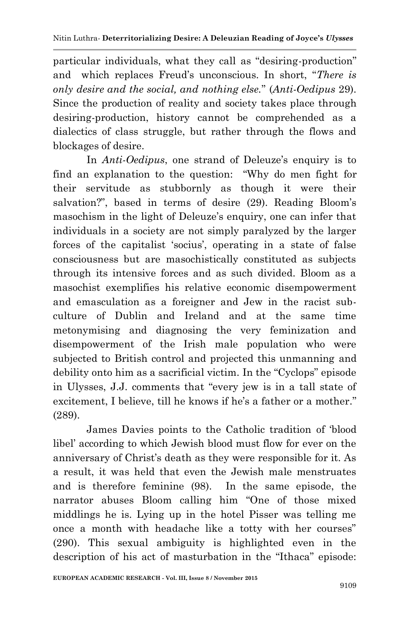particular individuals, what they call as "desiring-production" and which replaces Freud"s unconscious. In short, "*There is only desire and the social, and nothing else.*" (*Anti-Oedipus* 29). Since the production of reality and society takes place through desiring-production, history cannot be comprehended as a dialectics of class struggle, but rather through the flows and blockages of desire.

In *Anti-Oedipus*, one strand of Deleuze's enquiry is to find an explanation to the question: "Why do men fight for their servitude as stubbornly as though it were their salvation?", based in terms of desire (29). Reading Bloom's masochism in the light of Deleuze's enquiry, one can infer that individuals in a society are not simply paralyzed by the larger forces of the capitalist 'socius', operating in a state of false consciousness but are masochistically constituted as subjects through its intensive forces and as such divided. Bloom as a masochist exemplifies his relative economic disempowerment and emasculation as a foreigner and Jew in the racist subculture of Dublin and Ireland and at the same time metonymising and diagnosing the very feminization and disempowerment of the Irish male population who were subjected to British control and projected this unmanning and debility onto him as a sacrificial victim. In the "Cyclops" episode in Ulysses, J.J. comments that "every jew is in a tall state of excitement, I believe, till he knows if he's a father or a mother." (289).

James Davies points to the Catholic tradition of "blood libel" according to which Jewish blood must flow for ever on the anniversary of Christ's death as they were responsible for it. As a result, it was held that even the Jewish male menstruates and is therefore feminine (98). In the same episode, the narrator abuses Bloom calling him "One of those mixed middlings he is. Lying up in the hotel Pisser was telling me once a month with headache like a totty with her courses" (290). This sexual ambiguity is highlighted even in the description of his act of masturbation in the "Ithaca" episode: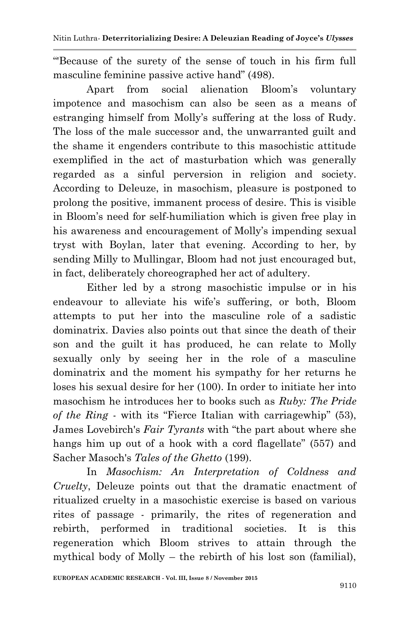"'Because of the surety of the sense of touch in his firm full masculine feminine passive active hand" (498).

Apart from social alienation Bloom"s voluntary impotence and masochism can also be seen as a means of estranging himself from Molly"s suffering at the loss of Rudy. The loss of the male successor and, the unwarranted guilt and the shame it engenders contribute to this masochistic attitude exemplified in the act of masturbation which was generally regarded as a sinful perversion in religion and society. According to Deleuze, in masochism, pleasure is postponed to prolong the positive, immanent process of desire. This is visible in Bloom"s need for self-humiliation which is given free play in his awareness and encouragement of Molly's impending sexual tryst with Boylan, later that evening. According to her, by sending Milly to Mullingar, Bloom had not just encouraged but, in fact, deliberately choreographed her act of adultery.

Either led by a strong masochistic impulse or in his endeavour to alleviate his wife's suffering, or both, Bloom attempts to put her into the masculine role of a sadistic dominatrix. Davies also points out that since the death of their son and the guilt it has produced, he can relate to Molly sexually only by seeing her in the role of a masculine dominatrix and the moment his sympathy for her returns he loses his sexual desire for her (100). In order to initiate her into masochism he introduces her to books such as *Ruby: The Pride of the Ring* - with its "Fierce Italian with carriagewhip" (53), James Lovebirch's *Fair Tyrants* with "the part about where she hangs him up out of a hook with a cord flagellate" (557) and Sacher Masoch's *Tales of the Ghetto* (199).

In *Masochism: An Interpretation of Coldness and Cruelty*, Deleuze points out that the dramatic enactment of ritualized cruelty in a masochistic exercise is based on various rites of passage - primarily, the rites of regeneration and rebirth, performed in traditional societies. It is this regeneration which Bloom strives to attain through the mythical body of Molly – the rebirth of his lost son (familial),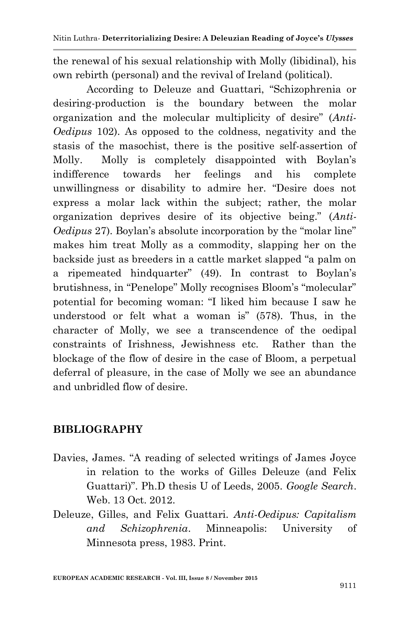the renewal of his sexual relationship with Molly (libidinal), his own rebirth (personal) and the revival of Ireland (political).

According to Deleuze and Guattari, "Schizophrenia or desiring-production is the boundary between the molar organization and the molecular multiplicity of desire" (*Anti-Oedipus* 102). As opposed to the coldness, negativity and the stasis of the masochist, there is the positive self-assertion of Molly. Molly is completely disappointed with Boylan"s indifference towards her feelings and his complete unwillingness or disability to admire her. "Desire does not express a molar lack within the subject; rather, the molar organization deprives desire of its objective being." (*Anti-Oedipus* 27). Boylan's absolute incorporation by the "molar line" makes him treat Molly as a commodity, slapping her on the backside just as breeders in a cattle market slapped "a palm on a ripemeated hindquarter" (49). In contrast to Boylan"s brutishness, in "Penelope" Molly recognises Bloom"s "molecular" potential for becoming woman: "I liked him because I saw he understood or felt what a woman is" (578). Thus, in the character of Molly, we see a transcendence of the oedipal constraints of Irishness, Jewishness etc. Rather than the blockage of the flow of desire in the case of Bloom, a perpetual deferral of pleasure, in the case of Molly we see an abundance and unbridled flow of desire.

## **BIBLIOGRAPHY**

- Davies, James. "A reading of selected writings of James Joyce in relation to the works of Gilles Deleuze (and Felix Guattari)". Ph.D thesis U of Leeds, 2005. *Google Search*. Web. 13 Oct. 2012.
- Deleuze, Gilles, and Felix Guattari. *Anti-Oedipus: Capitalism and Schizophrenia*. Minneapolis: University of Minnesota press, 1983. Print.